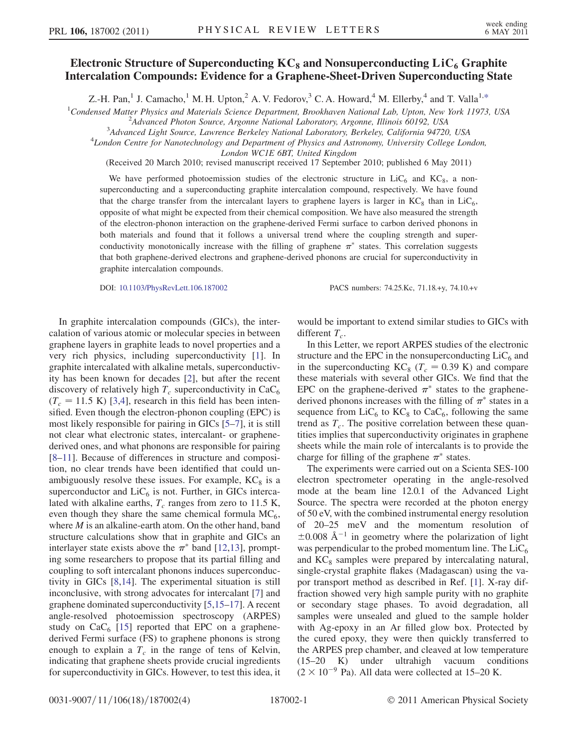## Electronic Structure of Superconducting  $KC<sub>8</sub>$  and Nonsuperconducting  $LiC<sub>6</sub>$  Graphite Intercalation Compounds: Evidence for a Graphene-Sheet-Driven Superconducting State

Z.-H. Pan,<sup>1</sup> J. Camacho,<sup>1</sup> M. H. Upton,<sup>2</sup> A. V. Fedorov,<sup>3</sup> C. A. Howard,<sup>4</sup> M. Ellerby,<sup>4</sup> and T. Valla<sup>1,[\\*](#page-3-0)</sup>

<span id="page-0-0"></span><sup>1</sup>Condensed Matter Physics and Materials Science Department, Brookhaven National Lab, Upton, New York 11973, USA<br><sup>2</sup>Advanced Photon Source, Argonne National Laboratory, Argonne Illinois 60102, USA

<sup>2</sup>Advanced Photon Source, Argonne National Laboratory, Argonne, Illinois 60192, USA

<sup>3</sup>Advanced Light Source, Lawrence Berkeley National Laboratory, Berkeley, California 94720, USA

<sup>4</sup>London Centre for Nanotechnology and Department of Physics and Astronomy, University College London,

London WC1E 6BT, United Kingdom

(Received 20 March 2010; revised manuscript received 17 September 2010; published 6 May 2011)

We have performed photoemission studies of the electronic structure in  $LiC<sub>6</sub>$  and  $KC<sub>8</sub>$ , a nonsuperconducting and a superconducting graphite intercalation compound, respectively. We have found that the charge transfer from the intercalant layers to graphene layers is larger in  $KC_8$  than in LiC<sub>6</sub>, opposite of what might be expected from their chemical composition. We have also measured the strength of the electron-phonon interaction on the graphene-derived Fermi surface to carbon derived phonons in both materials and found that it follows a universal trend where the coupling strength and superconductivity monotonically increase with the filling of graphene  $\pi^*$  states. This correlation suggests that both graphene-derived electrons and graphene-derived phonons are crucial for superconductivity in graphite intercalation compounds.

DOI: [10.1103/PhysRevLett.106.187002](http://dx.doi.org/10.1103/PhysRevLett.106.187002) PACS numbers: 74.25.Kc, 71.18.+y, 74.10.+v

In graphite intercalation compounds (GICs), the intercalation of various atomic or molecular species in between graphene layers in graphite leads to novel properties and a very rich physics, including superconductivity [[1\]](#page-3-1). In graphite intercalated with alkaline metals, superconductivity has been known for decades [\[2\]](#page-3-2), but after the recent discovery of relatively high  $T_c$  superconductivity in CaC<sub>6</sub>  $(T_c = 11.5 \text{ K})$  [[3,](#page-3-3)[4\]](#page-3-4), research in this field has been intensified. Even though the electron-phonon coupling (EPC) is most likely responsible for pairing in GICs [[5–](#page-3-5)[7](#page-3-6)], it is still not clear what electronic states, intercalant- or graphenederived ones, and what phonons are responsible for pairing [\[8–](#page-3-7)[11](#page-3-8)]. Because of differences in structure and composition, no clear trends have been identified that could unambiguously resolve these issues. For example,  $KC_8$  is a superconductor and  $LiC_6$  is not. Further, in GICs intercalated with alkaline earths,  $T_c$  ranges from zero to 11.5 K, even though they share the same chemical formula  $MC_6$ , where  $M$  is an alkaline-earth atom. On the other hand, band structure calculations show that in graphite and GICs an interlayer state exists above the  $\pi^*$  band [[12,](#page-3-9)[13](#page-3-10)], prompting some researchers to propose that its partial filling and coupling to soft intercalant phonons induces superconductivity in GICs [[8,](#page-3-7)[14](#page-3-11)]. The experimental situation is still inconclusive, with strong advocates for intercalant [\[7\]](#page-3-6) and graphene dominated superconductivity [[5](#page-3-5)[,15–](#page-3-12)[17](#page-3-13)]. A recent angle-resolved photoemission spectroscopy (ARPES) study on  $CaC<sub>6</sub>$  [\[15\]](#page-3-12) reported that EPC on a graphenederived Fermi surface (FS) to graphene phonons is strong enough to explain a  $T_c$  in the range of tens of Kelvin, indicating that graphene sheets provide crucial ingredients for superconductivity in GICs. However, to test this idea, it

would be important to extend similar studies to GICs with different  $T_c$ .

In this Letter, we report ARPES studies of the electronic structure and the EPC in the nonsuperconducting  $LiC_6$  and in the superconducting  $KC_8$  ( $T_c = 0.39$  K) and compare these materials with several other GICs. We find that the EPC on the graphene-derived  $\pi^*$  states to the graphenederived phonons increases with the filling of  $\pi^*$  states in a sequence from  $LiC_6$  to  $KC_8$  to  $CaC_6$ , following the same trend as  $T_c$ . The positive correlation between these quantities implies that superconductivity originates in graphene sheets while the main role of intercalants is to provide the charge for filling of the graphene  $\pi^*$  states.

The experiments were carried out on a Scienta SES-100 electron spectrometer operating in the angle-resolved mode at the beam line 12.0.1 of the Advanced Light Source. The spectra were recorded at the photon energy of 50 eV, with the combined instrumental energy resolution of 20–25 meV and the momentum resolution of  $\pm 0.008$  Å<sup>-1</sup> in geometry where the polarization of light was perpendicular to the probed momentum line. The  $LiC_6$ and  $KC<sub>8</sub>$  samples were prepared by intercalating natural, single-crystal graphite flakes (Madagascan) using the vapor transport method as described in Ref. [[1](#page-3-1)]. X-ray diffraction showed very high sample purity with no graphite or secondary stage phases. To avoid degradation, all samples were unsealed and glued to the sample holder with Ag-epoxy in an Ar filled glow box. Protected by the cured epoxy, they were then quickly transferred to the ARPES prep chamber, and cleaved at low temperature (15–20 K) under ultrahigh vacuum conditions  $(2 \times 10^{-9}$  Pa). All data were collected at 15–20 K.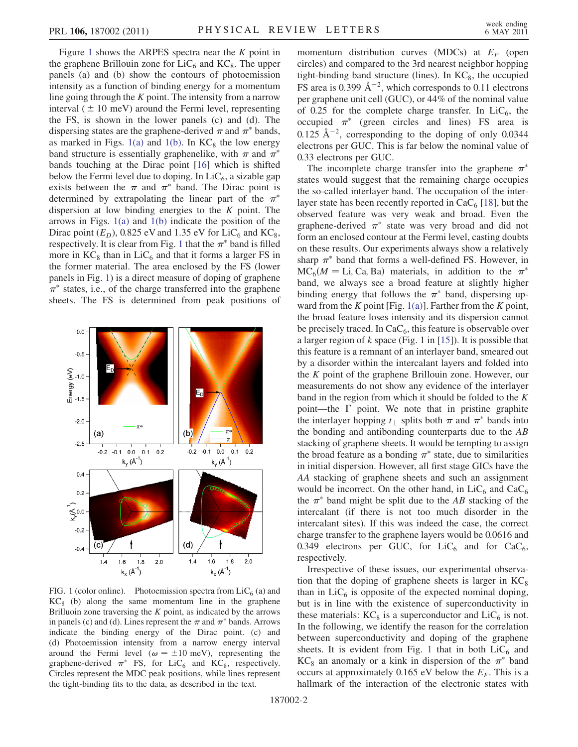Figure [1](#page-1-0) shows the ARPES spectra near the  $K$  point in the graphene Brillouin zone for  $LiC_6$  and  $KC_8$ . The upper panels (a) and (b) show the contours of photoemission intensity as a function of binding energy for a momentum line going through the  $K$  point. The intensity from a narrow interval  $(\pm 10 \text{ meV})$  around the Fermi level, representing the FS, is shown in the lower panels (c) and (d). The dispersing states are the graphene-derived  $\pi$  and  $\pi^*$  bands, as marked in Figs.  $1(a)$  and  $1(b)$ . In  $KC<sub>8</sub>$  the low energy band structure is essentially graphenelike, with  $\pi$  and  $\pi^*$ bands touching at the Dirac point [[16](#page-3-14)] which is shifted below the Fermi level due to doping. In  $LiC<sub>6</sub>$ , a sizable gap exists between the  $\pi$  and  $\pi^*$  band. The Dirac point is determined by extrapolating the linear part of the  $\pi^*$ dispersion at low binding energies to the  $K$  point. The arrows in Figs.  $1(a)$  and  $1(b)$  indicate the position of the Dirac point  $(E_D)$ , 0.825 eV and 1.35 eV for LiC<sub>6</sub> and KC<sub>8</sub>, respectively. It is clear from Fig. [1](#page-1-0) that the  $\pi^*$  band is filled more in  $KC_8$  than in  $LiC_6$  and that it forms a larger FS in the former material. The area enclosed by the FS (lower panels in Fig. [1\)](#page-1-0) is a direct measure of doping of graphene  $\pi^*$  states, i.e., of the charge transferred into the graphene sheets. The FS is determined from peak positions of

<span id="page-1-0"></span>

<span id="page-1-1"></span>FIG. 1 (color online). Photoemission spectra from  $\text{LiC}_6$  (a) and  $KC<sub>8</sub>$  (b) along the same momentum line in the graphene Brilluoin zone traversing the  $K$  point, as indicated by the arrows in panels (c) and (d). Lines represent the  $\pi$  and  $\pi^*$  bands. Arrows indicate the binding energy of the Dirac point. (c) and (d) Photoemission intensity from a narrow energy interval around the Fermi level ( $\omega = \pm 10$  meV), representing the graphene-derived  $\pi^*$  FS, for LiC<sub>6</sub> and KC<sub>8</sub>, respectively. Circles represent the MDC peak positions, while lines represent the tight-binding fits to the data, as described in the text.

momentum distribution curves (MDCs) at  $E_F$  (open circles) and compared to the 3rd nearest neighbor hopping tight-binding band structure (lines). In  $KC_8$ , the occupied FS area is 0.399  $\text{\AA}^{-2}$ , which corresponds to 0.11 electrons per graphene unit cell (GUC), or 44% of the nominal value of 0.25 for the complete charge transfer. In  $LiC_6$ , the occupied  $\pi^*$  (green circles and lines) FS area is 0.125  $\rm \AA^{-2}$ , corresponding to the doping of only 0.0344 electrons per GUC. This is far below the nominal value of 0.33 electrons per GUC.

The incomplete charge transfer into the graphene  $\pi^*$ states would suggest that the remaining charge occupies the so-called interlayer band. The occupation of the interlayer state has been recently reported in  $CaC<sub>6</sub>$  [\[18\]](#page-3-15), but the observed feature was very weak and broad. Even the graphene-derived  $\pi^*$  state was very broad and did not form an enclosed contour at the Fermi level, casting doubts on these results. Our experiments always show a relatively sharp  $\pi^*$  band that forms a well-defined FS. However, in  $MC<sub>6</sub>(M = Li, Ca, Ba)$  materials, in addition to the  $\pi^*$ band, we always see a broad feature at slightly higher binding energy that follows the  $\pi^*$  band, dispersing up-ward from the K point [Fig. [1\(a\)](#page-1-1)]. Farther from the K point, the broad feature loses intensity and its dispersion cannot be precisely traced. In  $CaC<sub>6</sub>$ , this feature is observable over a larger region of  $k$  space (Fig. 1 in [[15](#page-3-12)]). It is possible that this feature is a remnant of an interlayer band, smeared out by a disorder within the intercalant layers and folded into the K point of the graphene Brillouin zone. However, our measurements do not show any evidence of the interlayer band in the region from which it should be folded to the K point—the  $\Gamma$  point. We note that in pristine graphite the interlayer hopping  $t_{\perp}$  splits both  $\pi$  and  $\pi^*$  bands into the bonding and antibonding counterparts due to the AB stacking of graphene sheets. It would be tempting to assign the broad feature as a bonding  $\pi^*$  state, due to similarities in initial dispersion. However, all first stage GICs have the AA stacking of graphene sheets and such an assignment would be incorrect. On the other hand, in  $LiC_6$  and  $CaC_6$ the  $\pi^*$  band might be split due to the AB stacking of the intercalant (if there is not too much disorder in the intercalant sites). If this was indeed the case, the correct charge transfer to the graphene layers would be 0.0616 and 0.349 electrons per GUC, for  $LiC_6$  and for  $CaC_6$ , respectively.

Irrespective of these issues, our experimental observation that the doping of graphene sheets is larger in  $KC<sub>8</sub>$ than in  $LiC<sub>6</sub>$  is opposite of the expected nominal doping, but is in line with the existence of superconductivity in these materials:  $KC_8$  is a superconductor and  $LiC_6$  is not. In the following, we identify the reason for the correlation between superconductivity and doping of the graphene sheets. It is evident from Fig. [1](#page-1-0) that in both  $LiC_6$  and  $KC<sub>8</sub>$  an anomaly or a kink in dispersion of the  $\pi^*$  band occurs at approximately 0.165 eV below the  $E_F$ . This is a hallmark of the interaction of the electronic states with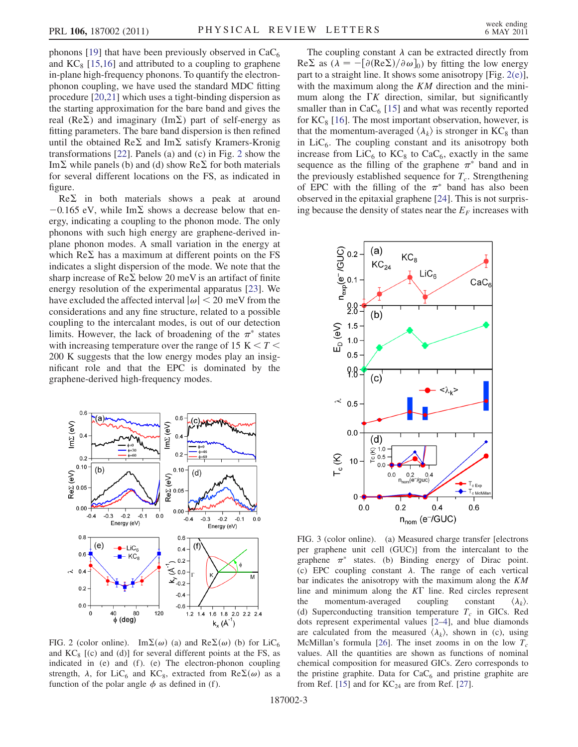phonons [[19](#page-3-16)] that have been previously observed in  $CaC<sub>6</sub>$ and  $KC_8$  [[15](#page-3-12),[16](#page-3-14)] and attributed to a coupling to graphene in-plane high-frequency phonons. To quantify the electronphonon coupling, we have used the standard MDC fitting procedure [[20](#page-3-17),[21](#page-3-18)] which uses a tight-binding dispersion as the starting approximation for the bare band and gives the real ( $Re\Sigma$ ) and imaginary (Im $\Sigma$ ) part of self-energy as fitting parameters. The bare band dispersion is then refined until the obtained  $\text{Re}\Sigma$  and  $\text{Im}\Sigma$  satisfy Kramers-Kronig transformations [\[22\]](#page-3-19). Panels (a) and (c) in Fig. [2](#page-2-0) show the Im  $\Sigma$  while panels (b) and (d) show Re  $\Sigma$  for both materials for several different locations on the FS, as indicated in figure.

 $Re \Sigma$  in both materials shows a peak at around  $-0.165$  eV, while Im $\Sigma$  shows a decrease below that energy, indicating a coupling to the phonon mode. The only phonons with such high energy are graphene-derived inplane phonon modes. A small variation in the energy at which  $\text{Re}\Sigma$  has a maximum at different points on the FS indicates a slight dispersion of the mode. We note that the sharp increase of  $\text{Re}\Sigma$  below 20 meV is an artifact of finite energy resolution of the experimental apparatus [\[23\]](#page-3-20). We have excluded the affected interval  $|\omega|$  < 20 meV from the considerations and any fine structure, related to a possible coupling to the intercalant modes, is out of our detection limits. However, the lack of broadening of the  $\pi^*$  states with increasing temperature over the range of 15 K  $\leq T \leq$ 200 K suggests that the low energy modes play an insignificant role and that the EPC is dominated by the graphene-derived high-frequency modes.

<span id="page-2-0"></span>

<span id="page-2-1"></span>FIG. 2 (color online). Im $\Sigma(\omega)$  (a) and Re $\Sigma(\omega)$  (b) for LiC<sub>6</sub> and  $KC_8$  [(c) and (d)] for several different points at the FS, as indicated in  $(e)$  and  $(f)$ .  $(e)$  The electron-phonon coupling strength,  $\lambda$ , for LiC<sub>6</sub> and KC<sub>8</sub>, extracted from Re $\Sigma(\omega)$  as a function of the polar angle  $\phi$  as defined in (f).

The coupling constant  $\lambda$  can be extracted directly from  $\text{Re}\Sigma$  as  $(\lambda = -[\partial(\text{Re}\Sigma)/\partial \omega]_0)$  by fitting the low energy part to a straight line. It shows some anisotropy [Fig. [2\(e\)\]](#page-2-1), with the maximum along the  $KM$  direction and the minimum along the  $\Gamma K$  direction, similar, but significantly smaller than in  $CaC<sub>6</sub>$  [\[15\]](#page-3-12) and what was recently reported for  $KC_8$  [\[16\]](#page-3-14). The most important observation, however, is that the momentum-averaged  $\langle \lambda_k \rangle$  is stronger in KC<sub>8</sub> than in  $LiC<sub>6</sub>$ . The coupling constant and its anisotropy both increase from  $LiC_6$  to  $KC_8$  to  $CaC_6$ , exactly in the same sequence as the filling of the graphene  $\pi^*$  band and in the previously established sequence for  $T_c$ . Strengthening of EPC with the filling of the  $\pi^*$  band has also been observed in the epitaxial graphene [\[24\]](#page-3-21). This is not surprising because the density of states near the  $E_F$  increases with

<span id="page-2-2"></span>

<span id="page-2-3"></span>FIG. 3 (color online). (a) Measured charge transfer [electrons per graphene unit cell (GUC)] from the intercalant to the graphene  $\pi^*$  states. (b) Binding energy of Dirac point. (c) EPC coupling constant  $\lambda$ . The range of each vertical bar indicates the anisotropy with the maximum along the KM line and minimum along the  $KT$  line. Red circles represent the momentum-averaged coupling constant  $\langle \lambda_k \rangle$ . (d) Superconducting transition temperature  $T_c$  in GICs. Red dots represent experimental values [\[2–](#page-3-2)[4](#page-3-4)], and blue diamonds are calculated from the measured  $\langle \lambda_k \rangle$ , shown in (c), using McMillan's formula [\[26\]](#page-3-22). The inset zooms in on the low  $T_c$ values. All the quantities are shown as functions of nominal chemical composition for measured GICs. Zero corresponds to the pristine graphite. Data for  $CaC<sub>6</sub>$  and pristine graphite are from Ref. [[15](#page-3-12)] and for  $KC_{24}$  are from Ref. [[27](#page-3-23)].